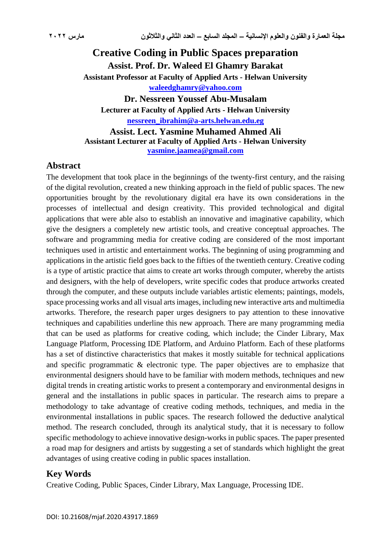# **Creative Coding in Public Spaces preparation Assist. Prof. Dr. Waleed El Ghamry Barakat Assistant Professor at Faculty of Applied Arts - Helwan University [waleedghamry@yahoo.com](mailto:waleedghamry@yahoo.com) Dr. Nessreen Youssef Abu-Musalam**

**Lecturer at Faculty of Applied Arts - Helwan University [nessreen\\_ibrahim@a-arts.helwan.edu.eg](mailto:nessreen_ibrahim@a-arts.helwan.edu.eg) Assist. Lect. Yasmine Muhamed Ahmed Ali**

**Assistant Lecturer at Faculty of Applied Arts - Helwan University [yasmine.jaamea@gmail.com](mailto:Yasmine.jaamea@gmail.com)**

## **Abstract**

The development that took place in the beginnings of the twenty-first century, and the raising of the digital revolution, created a new thinking approach in the field of public spaces. The new opportunities brought by the revolutionary digital era have its own considerations in the processes of intellectual and design creativity. This provided technological and digital applications that were able also to establish an innovative and imaginative capability, which give the designers a completely new artistic tools, and creative conceptual approaches. The software and programming media for creative coding are considered of the most important techniques used in artistic and entertainment works. The beginning of using programming and applications in the artistic field goes back to the fifties of the twentieth century. Creative coding is a type of artistic practice that aims to create art works through computer, whereby the artists and designers, with the help of developers, write specific codes that produce artworks created through the computer, and these outputs include variables artistic elements; paintings, models, space processing works and all visual arts images, including new interactive arts and multimedia artworks. Therefore, the research paper urges designers to pay attention to these innovative techniques and capabilities underline this new approach. There are many programming media that can be used as platforms for creative coding, which include; the Cinder Library, Max Language Platform, Processing IDE Platform, and Arduino Platform. Each of these platforms has a set of distinctive characteristics that makes it mostly suitable for technical applications and specific programmatic & electronic type. The paper objectives are to emphasize that environmental designers should have to be familiar with modern methods, techniques and new digital trends in creating artistic works to present a contemporary and environmental designs in general and the installations in public spaces in particular. The research aims to prepare a methodology to take advantage of creative coding methods, techniques, and media in the environmental installations in public spaces. The research followed the deductive analytical method. The research concluded, through its analytical study, that it is necessary to follow specific methodology to achieve innovative design-works in public spaces. The paper presented a road map for designers and artists by suggesting a set of standards which highlight the great advantages of using creative coding in public spaces installation.

## **Key Words**

Creative Coding, Public Spaces, Cinder Library, Max Language, Processing IDE.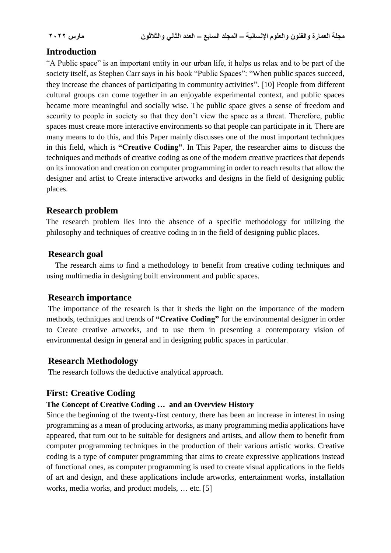# **Introduction**

"A Public space" is an important entity in our urban life, it helps us relax and to be part of the society itself, as Stephen Carr says in his book "Public Spaces": "When public spaces succeed, they increase the chances of participating in community activities". [10] People from different cultural groups can come together in an enjoyable experimental context, and public spaces became more meaningful and socially wise. The public space gives a sense of freedom and security to people in society so that they don't view the space as a threat. Therefore, public spaces must create more interactive environments so that people can participate in it. There are many means to do this, and this Paper mainly discusses one of the most important techniques in this field, which is **"Creative Coding"**. In This Paper, the researcher aims to discuss the techniques and methods of creative coding as one of the modern creative practices that depends on its innovation and creation on computer programming in order to reach results that allow the designer and artist to Create interactive artworks and designs in the field of designing public places.

# **Research problem**

The research problem lies into the absence of a specific methodology for utilizing the philosophy and techniques of creative coding in in the field of designing public places.

## **Research goal**

The research aims to find a methodology to benefit from creative coding techniques and using multimedia in designing built environment and public spaces.

## **Research importance**

The importance of the research is that it sheds the light on the importance of the modern methods, techniques and trends of **"Creative Coding"** for the environmental designer in order to Create creative artworks, and to use them in presenting a contemporary vision of environmental design in general and in designing public spaces in particular.

## **Research Methodology**

The research follows the deductive analytical approach.

## **First: Creative Coding**

#### **The Concept of Creative Coding … and an Overview History**

Since the beginning of the twenty-first century, there has been an increase in interest in using programming as a mean of producing artworks, as many programming media applications have appeared, that turn out to be suitable for designers and artists, and allow them to benefit from computer programming techniques in the production of their various artistic works. Creative coding is a type of computer programming that aims to create expressive applications instead of functional ones, as computer programming is used to create visual applications in the fields of art and design, and these applications include artworks, entertainment works, installation works, media works, and product models, ... etc. [5]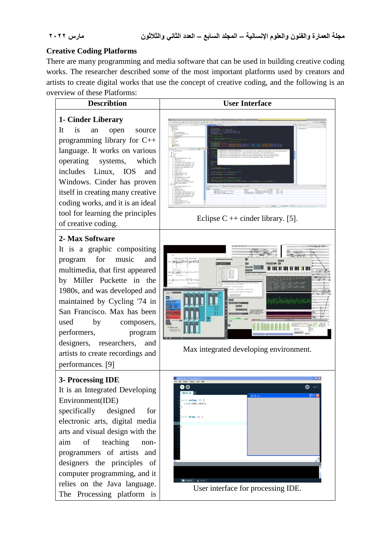#### **Creative Coding Platforms**

There are many programming and media software that can be used in building creative coding works. The researcher described some of the most important platforms used by creators and artists to create digital works that use the concept of creative coding, and the following is an overview of these Platforms:

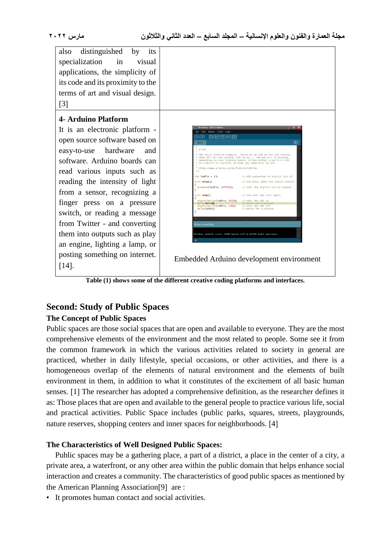| distinguished by<br>also<br>its<br>specialization<br>in<br>visual               |                                                                                                                                                                                    |  |
|---------------------------------------------------------------------------------|------------------------------------------------------------------------------------------------------------------------------------------------------------------------------------|--|
| applications, the simplicity of                                                 |                                                                                                                                                                                    |  |
| its code and its proximity to the                                               |                                                                                                                                                                                    |  |
| terms of art and visual design.                                                 |                                                                                                                                                                                    |  |
| $[3]$                                                                           |                                                                                                                                                                                    |  |
| <b>4- Arduino Platform</b>                                                      |                                                                                                                                                                                    |  |
| It is an electronic platform -                                                  | no - 0011 Al<br>Skatch Tools Help                                                                                                                                                  |  |
| open source software based on                                                   | 固固固固固                                                                                                                                                                              |  |
| hardware<br>easy-to-use<br>and                                                  | The basic Arduino example. Turns on an LED on for one second,                                                                                                                      |  |
| software. Arduino boards can                                                    | then off for one second, and so on We use pin 13 because,<br>depending on your Arduino board, it has either a built-in LED<br>or a built-in resistor so that you need only an LED. |  |
| read various inputs such as                                                     | http://www.arduino.cc/en/Tutorial/Blink                                                                                                                                            |  |
| reading the intensity of light                                                  | $int$ led $P1n = 13$ :<br>// LED connected to digital pin 13<br>void setup()<br>// run once, when the sketch starts                                                                |  |
| from a sensor, recognizing a                                                    | pinMode(ledPin, OUTPUT);<br>// sets the digital pin as output                                                                                                                      |  |
| finger press on a pressure                                                      | void loop()<br>// run over and over again<br>digitalWrite(ledPin, HIGH);<br>// sets the LED on<br>delay(10000):<br>digitalMrite(ledPin, LOW);<br>// waits for a secon              |  |
| switch, or reading a message                                                    | // sets the LED off<br>de1ay(1000);<br>// waits for a second                                                                                                                       |  |
| from Twitter - and converting                                                   | Done compiling                                                                                                                                                                     |  |
| them into outputs such as play                                                  | Binary sketch size: 1098 bytes (of a 14336 byte maximum)                                                                                                                           |  |
| an engine, lighting a lamp, or                                                  |                                                                                                                                                                                    |  |
| posting something on internet.                                                  |                                                                                                                                                                                    |  |
|                                                                                 | Embedded Arduino development environment                                                                                                                                           |  |
| $[14]$ .                                                                        |                                                                                                                                                                                    |  |
| Table (1) shows some of the different creative coding platforms and interfaces. |                                                                                                                                                                                    |  |

# **Second: Study of Public Spaces**

# **The Concept of Public Spaces**

Public spaces are those social spaces that are open and available to everyone. They are the most comprehensive elements of the environment and the most related to people. Some see it from the common framework in which the various activities related to society in general are practiced, whether in daily lifestyle, special occasions, or other activities, and there is a homogeneous overlap of the elements of natural environment and the elements of built environment in them, in addition to what it constitutes of the excitement of all basic human senses. [1] The researcher has adopted a comprehensive definition, as the researcher defines it as: Those places that are open and available to the general people to practice various life, social and practical activities. Public Space includes (public parks, squares, streets, playgrounds, nature reserves, shopping centers and inner spaces for neighborhoods. [4]

# **The Characteristics of Well Designed Public Spaces:**

Public spaces may be a gathering place, a part of a district, a place in the center of a city, a private area, a waterfront, or any other area within the public domain that helps enhance social interaction and creates a community. The characteristics of good public spaces as mentioned by the American Planning Association<sup>[9]</sup> are :

• It promotes human contact and social activities.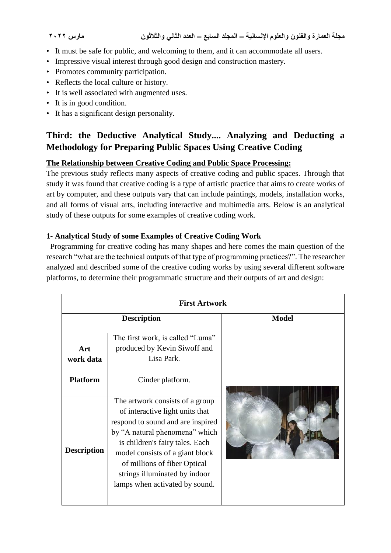- It must be safe for public, and welcoming to them, and it can accommodate all users.
- Impressive visual interest through good design and construction mastery.
- Promotes community participation.
- Reflects the local culture or history.
- It is well associated with augmented uses.
- It is in good condition.
- It has a significant design personality.

# **Third: the Deductive Analytical Study.... Analyzing and Deducting a Methodology for Preparing Public Spaces Using Creative Coding**

# **The Relationship between Creative Coding and Public Space Processing:**

The previous study reflects many aspects of creative coding and public spaces. Through that study it was found that creative coding is a type of artistic practice that aims to create works of art by computer, and these outputs vary that can include paintings, models, installation works, and all forms of visual arts, including interactive and multimedia arts. Below is an analytical study of these outputs for some examples of creative coding work.

# **1- Analytical Study of some Examples of Creative Coding Work**

 Programming for creative coding has many shapes and here comes the main question of the research "what are the technical outputs of that type of programming practices?". The researcher analyzed and described some of the creative coding works by using several different software platforms, to determine their programmatic structure and their outputs of art and design:

| <b>First Artwork</b> |                                                                                                                                                                                                                                                                                                                    |              |  |
|----------------------|--------------------------------------------------------------------------------------------------------------------------------------------------------------------------------------------------------------------------------------------------------------------------------------------------------------------|--------------|--|
|                      | <b>Description</b>                                                                                                                                                                                                                                                                                                 | <b>Model</b> |  |
| Art<br>work data     | The first work, is called "Luma"<br>produced by Kevin Siwoff and<br>Lisa Park.                                                                                                                                                                                                                                     |              |  |
| <b>Platform</b>      | Cinder platform.                                                                                                                                                                                                                                                                                                   |              |  |
| <b>Description</b>   | The artwork consists of a group<br>of interactive light units that<br>respond to sound and are inspired<br>by "A natural phenomena" which<br>is children's fairy tales. Each<br>model consists of a giant block<br>of millions of fiber Optical<br>strings illuminated by indoor<br>lamps when activated by sound. |              |  |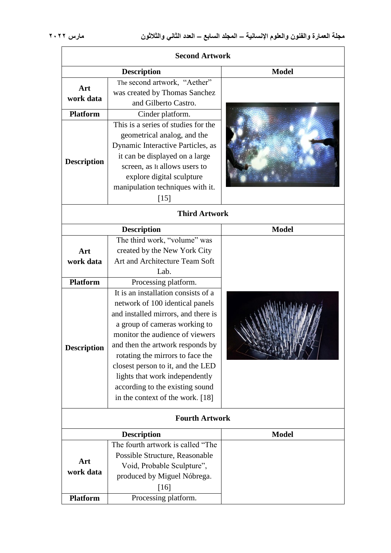| <b>Second Artwork</b> |                                                                                                                                                                                                                                                                                                                                                                                                         |              |
|-----------------------|---------------------------------------------------------------------------------------------------------------------------------------------------------------------------------------------------------------------------------------------------------------------------------------------------------------------------------------------------------------------------------------------------------|--------------|
| <b>Description</b>    |                                                                                                                                                                                                                                                                                                                                                                                                         | <b>Model</b> |
| Art<br>work data      | The second artwork, "Aether"<br>was created by Thomas Sanchez<br>and Gilberto Castro.                                                                                                                                                                                                                                                                                                                   |              |
| <b>Platform</b>       | Cinder platform.                                                                                                                                                                                                                                                                                                                                                                                        |              |
| <b>Description</b>    | This is a series of studies for the<br>geometrical analog, and the<br>Dynamic Interactive Particles, as<br>it can be displayed on a large<br>screen, as It allows users to<br>explore digital sculpture<br>manipulation techniques with it.<br>$[15]$                                                                                                                                                   |              |
| <b>Third Artwork</b>  |                                                                                                                                                                                                                                                                                                                                                                                                         |              |
|                       | <b>Description</b>                                                                                                                                                                                                                                                                                                                                                                                      | <b>Model</b> |
| Art<br>work data      | The third work, "volume" was<br>created by the New York City<br>Art and Architecture Team Soft<br>Lab.                                                                                                                                                                                                                                                                                                  |              |
| <b>Platform</b>       | Processing platform.                                                                                                                                                                                                                                                                                                                                                                                    |              |
| <b>Description</b>    | It is an installation consists of a<br>network of 100 identical panels<br>and installed mirrors, and there is<br>a group of cameras working to<br>monitor the audience of viewers<br>and then the artwork responds by<br>rotating the mirrors to face the<br>closest person to it, and the LED<br>lights that work independently<br>according to the existing sound<br>in the context of the work. [18] |              |
|                       | <b>Fourth Artwork</b>                                                                                                                                                                                                                                                                                                                                                                                   |              |
|                       | <b>Description</b>                                                                                                                                                                                                                                                                                                                                                                                      | <b>Model</b> |
| Art<br>work data      | The fourth artwork is called "The<br>Possible Structure, Reasonable<br>Void, Probable Sculpture",<br>produced by Miguel Nóbrega.<br>[16]                                                                                                                                                                                                                                                                |              |
| <b>Platform</b>       | Processing platform.                                                                                                                                                                                                                                                                                                                                                                                    |              |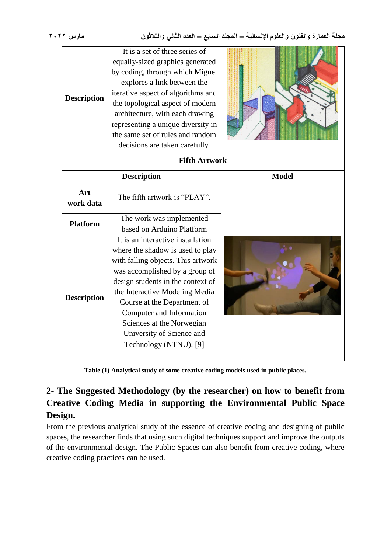**مجلة العمارة والفنون والعلوم اإلنسانية – المجلد السابع – العدد الثاني والثالثون مارس 2022**

| <b>Description</b>   | It is a set of three series of<br>equally-sized graphics generated<br>by coding, through which Miguel<br>explores a link between the<br>iterative aspect of algorithms and<br>the topological aspect of modern<br>architecture, with each drawing<br>representing a unique diversity in<br>the same set of rules and random<br>decisions are taken carefully.       |              |  |  |
|----------------------|---------------------------------------------------------------------------------------------------------------------------------------------------------------------------------------------------------------------------------------------------------------------------------------------------------------------------------------------------------------------|--------------|--|--|
| <b>Fifth Artwork</b> |                                                                                                                                                                                                                                                                                                                                                                     |              |  |  |
|                      | <b>Description</b>                                                                                                                                                                                                                                                                                                                                                  | <b>Model</b> |  |  |
| Art<br>work data     | The fifth artwork is "PLAY".                                                                                                                                                                                                                                                                                                                                        |              |  |  |
| <b>Platform</b>      | The work was implemented<br>based on Arduino Platform                                                                                                                                                                                                                                                                                                               |              |  |  |
| <b>Description</b>   | It is an interactive installation<br>where the shadow is used to play<br>with falling objects. This artwork<br>was accomplished by a group of<br>design students in the context of<br>the Interactive Modeling Media<br>Course at the Department of<br>Computer and Information<br>Sciences at the Norwegian<br>University of Science and<br>Technology (NTNU). [9] |              |  |  |

**Table (1) Analytical study of some creative coding models used in public places.**

# **2- The Suggested Methodology (by the researcher) on how to benefit from Creative Coding Media in supporting the Environmental Public Space Design.**

From the previous analytical study of the essence of creative coding and designing of public spaces, the researcher finds that using such digital techniques support and improve the outputs of the environmental design. The Public Spaces can also benefit from creative coding, where creative coding practices can be used.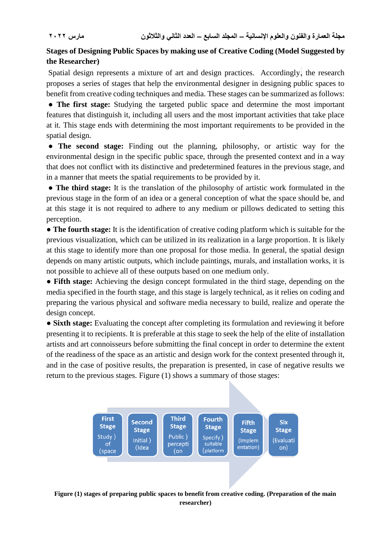## **Stages of Designing Public Spaces by making use of Creative Coding (Model Suggested by the Researcher)**

Spatial design represents a mixture of art and design practices. Accordingly, the research proposes a series of stages that help the environmental designer in designing public spaces to benefit from creative coding techniques and media. These stages can be summarized as follows:

● **The first stage:** Studying the targeted public space and determine the most important features that distinguish it, including all users and the most important activities that take place at it. This stage ends with determining the most important requirements to be provided in the spatial design.

● **The second stage:** Finding out the planning, philosophy, or artistic way for the environmental design in the specific public space, through the presented context and in a way that does not conflict with its distinctive and predetermined features in the previous stage, and in a manner that meets the spatial requirements to be provided by it.

● **The third stage:** It is the translation of the philosophy of artistic work formulated in the previous stage in the form of an idea or a general conception of what the space should be, and at this stage it is not required to adhere to any medium or pillows dedicated to setting this perception.

● **The fourth stage:** It is the identification of creative coding platform which is suitable for the previous visualization, which can be utilized in its realization in a large proportion. It is likely at this stage to identify more than one proposal for those media. In general, the spatial design depends on many artistic outputs, which include paintings, murals, and installation works, it is not possible to achieve all of these outputs based on one medium only.

● **Fifth stage:** Achieving the design concept formulated in the third stage, depending on the media specified in the fourth stage, and this stage is largely technical, as it relies on coding and preparing the various physical and software media necessary to build, realize and operate the design concept.

● **Sixth stage:** Evaluating the concept after completing its formulation and reviewing it before presenting it to recipients. It is preferable at this stage to seek the help of the elite of installation artists and art connoisseurs before submitting the final concept in order to determine the extent of the readiness of the space as an artistic and design work for the context presented through it, and in the case of positive results, the preparation is presented, in case of negative results we return to the previous stages. Figure (1) shows a summary of those stages:



**Figure (1) stages of preparing public spaces to benefit from creative coding. (Preparation of the main researcher)**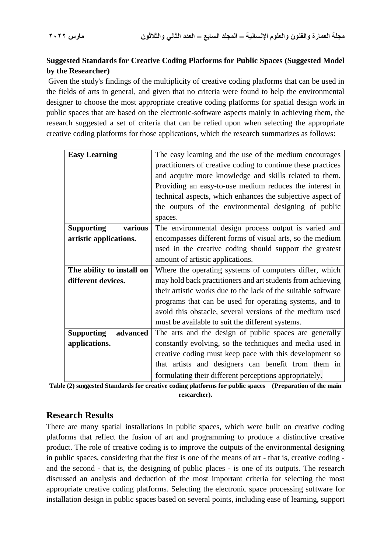# **Suggested Standards for Creative Coding Platforms for Public Spaces (Suggested Model by the Researcher)**

Given the study's findings of the multiplicity of creative coding platforms that can be used in the fields of arts in general, and given that no criteria were found to help the environmental designer to choose the most appropriate creative coding platforms for spatial design work in public spaces that are based on the electronic-software aspects mainly in achieving them, the research suggested a set of criteria that can be relied upon when selecting the appropriate creative coding platforms for those applications, which the research summarizes as follows:

| <b>Easy Learning</b>          | The easy learning and the use of the medium encourages        |  |
|-------------------------------|---------------------------------------------------------------|--|
|                               | practitioners of creative coding to continue these practices  |  |
|                               | and acquire more knowledge and skills related to them.        |  |
|                               | Providing an easy-to-use medium reduces the interest in       |  |
|                               | technical aspects, which enhances the subjective aspect of    |  |
|                               | the outputs of the environmental designing of public          |  |
|                               | spaces.                                                       |  |
| <b>Supporting</b><br>various  | The environmental design process output is varied and         |  |
| artistic applications.        | encompasses different forms of visual arts, so the medium     |  |
|                               | used in the creative coding should support the greatest       |  |
|                               | amount of artistic applications.                              |  |
| The ability to install on     | Where the operating systems of computers differ, which        |  |
| different devices.            | may hold back practitioners and art students from achieving   |  |
|                               | their artistic works due to the lack of the suitable software |  |
|                               | programs that can be used for operating systems, and to       |  |
|                               | avoid this obstacle, several versions of the medium used      |  |
|                               | must be available to suit the different systems.              |  |
| <b>Supporting</b><br>advanced | The arts and the design of public spaces are generally        |  |
| applications.                 | constantly evolving, so the techniques and media used in      |  |
|                               | creative coding must keep pace with this development so       |  |
|                               | that artists and designers can benefit from them in           |  |
|                               | formulating their different perceptions appropriately.        |  |

**Table (2) suggested Standards for creative coding platforms for public spaces (Preparation of the main researcher).**

# **Research Results**

There are many spatial installations in public spaces, which were built on creative coding platforms that reflect the fusion of art and programming to produce a distinctive creative product. The role of creative coding is to improve the outputs of the environmental designing in public spaces, considering that the first is one of the means of art - that is, creative coding and the second - that is, the designing of public places - is one of its outputs. The research discussed an analysis and deduction of the most important criteria for selecting the most appropriate creative coding platforms. Selecting the electronic space processing software for installation design in public spaces based on several points, including ease of learning, support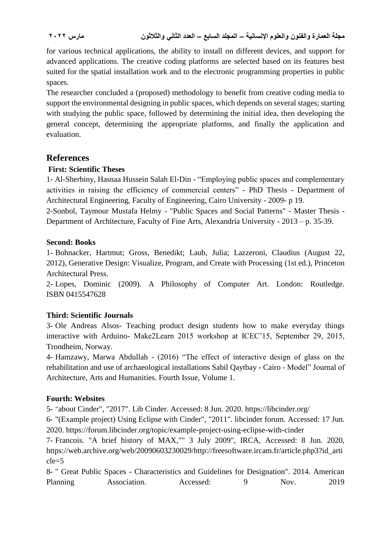for various technical applications, the ability to install on different devices, and support for advanced applications. The creative coding platforms are selected based on its features best suited for the spatial installation work and to the electronic programming properties in public spaces.

The researcher concluded a (proposed) methodology to benefit from creative coding media to support the environmental designing in public spaces, which depends on several stages; starting with studying the public space, followed by determining the initial idea, then developing the general concept, determining the appropriate platforms, and finally the application and evaluation.

# **References**

## **First: Scientific Theses**

1- Al-Sherbiny, Hasnaa Hussein Salah El-Din - "Employing public spaces and complementary activities in raising the efficiency of commercial centers" - PhD Thesis - Department of Architectural Engineering, Faculty of Engineering, Cairo University - 2009- p 19.

2-Sonbol, Taymour Mustafa Helmy - "Public Spaces and Social Patterns" - Master Thesis - Department of Architecture, Faculty of Fine Arts, Alexandria University - 2013 – p. 35-39.

#### **Second: Books**

1- Bohnacker, Hartmut; Gross, Benedikt; Laub, Julia; Lazzeroni, Claudius (August 22, 2012), Generative Design: Visualize, Program, and Create with Processing (1st ed.), [Princeton](https://en.wikipedia.org/wiki/Princeton_Architectural_Press)  [Architectural Press.](https://en.wikipedia.org/wiki/Princeton_Architectural_Press)

2- Lopes, Dominic (2009). A Philosophy of Computer Art. London: Routledge. [ISBN](https://en.wikipedia.org/wiki/International_Standard_Book_Number) [0415547628](https://en.wikipedia.org/wiki/Special:BookSources/0415547628)

## **Third: Scientific Journals**

3- Ole Andreas Alsos- Teaching product design students how to make everyday things interactive with Arduino- Make2Learn 2015 workshop at ICEC'15, September 29, 2015, Trondheim, Norway.

4- Hamzawy, Marwa Abdullah - (2016) "The effect of interactive design of glass on the rehabilitation and use of archaeological installations Sabil Qaytbay - Cairo - Model" Journal of Architecture, Arts and Humanities. Fourth Issue, Volume 1.

## **Fourth: Websites**

5- "about Cinder", "2017". Lib Cinder. Accessed: 8 Jun. 2020[.](https://libcinder.org/) <https://libcinder.org/>

6- ["\(Example project\) Using Eclipse with Cinder"](https://forum.libcinder.org/topic/example-project-using-eclipse-with-cinder), "2011". libcinder forum. Accessed: 17 Jun. 2020[.](https://forum.libcinder.org/topic/example-project-using-eclipse-with-cinder) <https://forum.libcinder.org/topic/example-project-using-eclipse-with-cinder>

7- Francois. ["A brief history of MAX,""](https://web.archive.org/web/20090603230029/http:/freesoftware.ircam.fr/article.php3?id_article=5) 3 July 2009", IRCA, Accessed: 8 Jun. 2020, [https://web.archive.org/web/20090603230029/http://freesoftware.ircam.fr/article.php3?id\\_arti](https://web.archive.org/web/20090603230029/http:/freesoftware.ircam.fr/article.php3?id_article=5) [cle=5](https://web.archive.org/web/20090603230029/http:/freesoftware.ircam.fr/article.php3?id_article=5)

8- " Great Public Spaces - Characteristics and Guidelines for Designation". 2014. American Planning Association. Accessed: 9 Nov. 2019